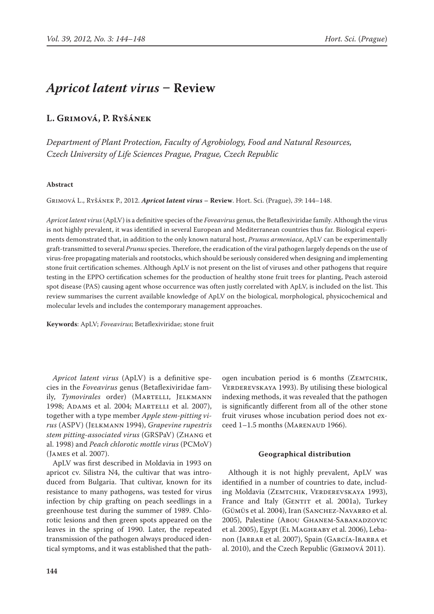# *Apricot latent virus* **– Review**

## **L. Grimová, P. Ryšánek**

*Department of Plant Protection, Faculty of Agrobiology, Food and Natural Resources, Czech University of Life Sciences Prague, Prague, Czech Republic*

### **Abstract**

Grimová L., Ryšánek P., 2012. *Apricot latent virus* **– Review**. Hort. Sci. (Prague), *39*: 144–148.

*Apricot latent virus* (ApLV) is a definitive species of the *Foveavirus* genus, the Betaflexiviridae family. Although the virus is not highly prevalent, it was identified in several European and Mediterranean countries thus far. Biological experiments demonstrated that, in addition to the only known natural host, *Prunus armeniaca*, ApLV can be experimentally graft-transmitted to several *Prunus* species. Therefore, the eradication of the viral pathogen largely depends on the use of virus-free propagating materials and rootstocks, which should be seriously considered when designing and implementing stone fruit certification schemes. Although ApLV is not present on the list of viruses and other pathogens that require testing in the EPPO certification schemes for the production of healthy stone fruit trees for planting, Peach asteroid spot disease (PAS) causing agent whose occurrence was often justly correlated with ApLV, is included on the list. This review summarises the current available knowledge of ApLV on the biological, morphological, physicochemical and molecular levels and includes the contemporary management approaches.

**Keywords**: ApLV; *Foveavirus*; Betaflexiviridae; stone fruit

*Apricot latent virus* (ApLV) is a definitive species in the *Foveavirus* genus (Betaflexiviridae family, *Tymovirales* order) (MARTELLI, JELKMANN 1998; Adams et al. 2004; Martelli et al. 2007), together with a type member *Apple stem-pitting virus* (ASPV) (Jelkmann 1994), *Grapevine rupestris stem pitting-associated virus* (GRSPaV) (Zhang et al. 1998) and *Peach chlorotic mottle virus* (PCMoV) (James et al. 2007).

ApLV was first described in Moldavia in 1993 on apricot cv. Silistra N4, the cultivar that was introduced from Bulgaria. That cultivar, known for its resistance to many pathogens, was tested for virus infection by chip grafting on peach seedlings in a greenhouse test during the summer of 1989. Chlorotic lesions and then green spots appeared on the leaves in the spring of 1990. Later, the repeated transmission of the pathogen always produced identical symptoms, and it was established that the pathogen incubation period is 6 months (ZEMTCHIK, VERDEREVSKAYA 1993). By utilising these biological indexing methods, it was revealed that the pathogen is significantly different from all of the other stone fruit viruses whose incubation period does not exceed 1-1.5 months (MARENAUD 1966).

### **Geographical distribution**

Although it is not highly prevalent, ApLV was identified in a number of countries to date, including Moldavia (ZEMTCHIK, VERDEREVSKAYA 1993), France and Italy (GENTIT et al. 2001a), Turkey (Gümüs et al. 2004), Iran (Sanchez-Navarro et al. 2005), Palestine (Abou Ghanem-Sabanadzovic et al. 2005), Egypt (EL MAGHRABY et al. 2006), Lebanon (Jarrar et al. 2007), Spain (García-Ibarra et al. 2010), and the Czech Republic (Grimová 2011).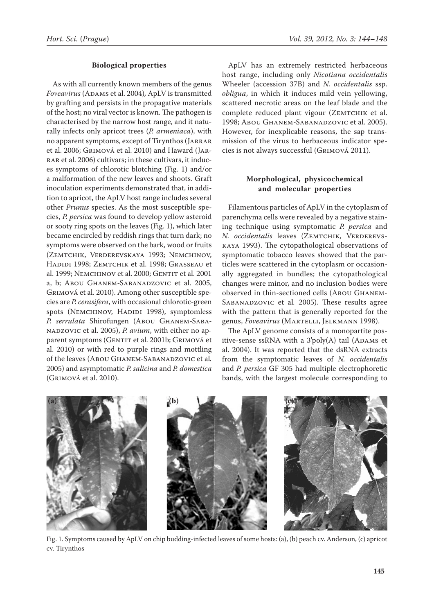### **Biological properties**

As with all currently known members of the genus *Foveavirus* (Adams et al. 2004)*,* ApLV is transmitted by grafting and persists in the propagative materials of the host; no viral vector is known. The pathogen is characterised by the narrow host range, and it naturally infects only apricot trees (*P. armeniaca*), with no apparent symptoms, except of Tirynthos (Jarrar et al. 2006; Grimová et al. 2010) and Haward (Jarrar et al. 2006) cultivars; in these cultivars, it induces symptoms of chlorotic blotching (Fig. 1) and/or a malformation of the new leaves and shoots. Graft inoculation experiments demonstrated that, in addition to apricot, the ApLV host range includes several other *Prunus* species. As the most susceptible species, *P. persica* was found to develop yellow asteroid or sooty ring spots on the leaves (Fig. 1), which later became encircled by reddish rings that turn dark; no symptoms were observed on the bark, wood or fruits (Zemtchik, Verderevskaya 1993; Nemchinov, Hadidi 1998; Zemtchik et al. 1998; Grasseau et al. 1999; NEMCHINOV et al. 2000; GENTIT et al. 2001 a, b; Abou Ghanem-Sabanadzovic et al. 2005, Grimová et al. 2010). Among other susceptible species are *P. cerasifera*, with occasional chlorotic-green spots (NEMCHINOV, HADIDI 1998), symptomless *P. serrulata* Shirofungen (Abou Ghanem-Sabanadzovic et al. 2005), *P. avium*, with either no apparent symptoms (GENTIT et al. 2001b; GRIMOVÁ et al. 2010) or with red to purple rings and mottling of the leaves (Abou Ghanem-Sabanadzovic et al*.*  2005) and asymptomatic *P. salicina* and *P. domestica* (Grimová et al. 2010).

ApLV has an extremely restricted herbaceous host range, including only *Nicotiana occidentalis*  Wheeler (accession 37B) and *N. occidentalis* ssp. *obligua*, in which it induces mild vein yellowing, scattered necrotic areas on the leaf blade and the complete reduced plant vigour (ZEMTCHIK et al. 1998; Abou Ghanem-Sabanadzovic et al. 2005). However, for inexplicable reasons, the sap transmission of the virus to herbaceous indicator species is not always successful (Grimová 2011).

### **Morphological, physicochemical and molecular properties**

Filamentous particles of ApLV in the cytoplasm of parenchyma cells were revealed by a negative staining technique using symptomatic *P. persica* and *N. occidentalis* leaves (ZEMTCHIK, VERDEREVSkaya 1993). The cytopathological observations of symptomatic tobacco leaves showed that the particles were scattered in the cytoplasm or occasionally aggregated in bundles; the cytopathological changes were minor, and no inclusion bodies were observed in thin-sectioned cells (Abou Ghanem-Sabanadzovic et al*.* 2005). These results agree with the pattern that is generally reported for the genus, *Foveavirus* (Martelli, Jelkmann 1998).

The ApLV genome consists of a monopartite positive-sense ssRNA with a  $3'poly(A)$  tail (ADAMS et al. 2004). It was reported that the dsRNA extracts from the symptomatic leaves of *N. occidentalis*  and *P. persica* GF 305 had multiple electrophoretic bands, with the largest molecule corresponding to



Fig. 1. Symptoms caused by ApLV on chip budding-infected leaves of some hosts: (a), (b) peach cv. Anderson, (c) apricot cv. Tirynthos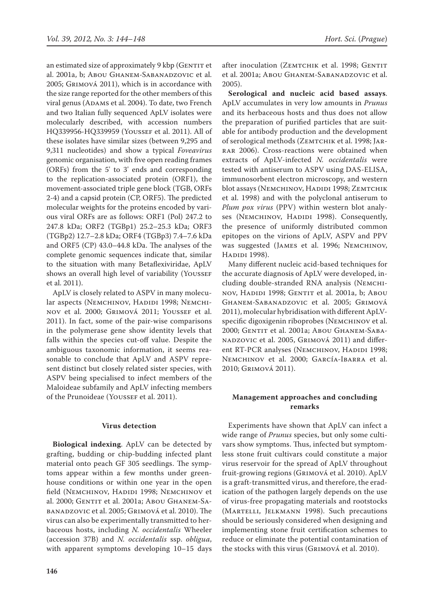an estimated size of approximately 9 kbp (GENTIT et al. 2001a, b; Abou Ghanem-Sabanadzovic et al. 2005; Grimová 2011), which is in accordance with the size range reported for the other members of this viral genus (ADAMS et al. 2004). To date, two French and two Italian fully sequenced ApLV isolates were molecularly described, with accession numbers HQ339956-HQ339959 (Youssef et al. 2011). All of these isolates have similar sizes (between 9,295 and 9,311 nucleotides) and show a typical *Foveavirus* genomic organisation, with five open reading frames (ORFs) from the 5' to 3' ends and corresponding to the replication-associated protein (ORF1), the movement-associated triple gene block (TGB, ORFs 2-4) and a capsid protein (CP, ORF5). The predicted molecular weights for the proteins encoded by various viral ORFs are as follows: ORF1 (Pol) 247.2 to 247.8 kDa; ORF2 (TGBp1) 25.2–25.3 kDa; ORF3 (TGBp2) 12.7–2.8 kDa; ORF4 (TGBp3) 7.4–7.6 kDa and ORF5 (CP) 43.0–44.8 kDa. The analyses of the complete genomic sequences indicate that, similar to the situation with many Betaflexiviridae, ApLV shows an overall high level of variability (YOUSSEF et al. 2011).

ApLV is closely related to ASPV in many molecular aspects (NEMCHINOV, HADIDI 1998; NEMCHInov et al. 2000; Grimová 2011; Youssef et al. 2011). In fact, some of the pair-wise comparisons in the polymerase gene show identity levels that falls within the species cut-off value. Despite the ambiguous taxonomic information, it seems reasonable to conclude that ApLV and ASPV represent distinct but closely related sister species, with ASPV being specialised to infect members of the Maloideae subfamily and ApLV infecting members of the Prunoideae (Yousser et al. 2011).

# **Virus detection**

**Biological indexing**. ApLV can be detected by grafting, budding or chip-budding infected plant material onto peach GF 305 seedlings. The symptoms appear within a few months under greenhouse conditions or within one year in the open field (NEMCHINOV, HADIDI 1998; NEMCHINOV et al. 2000; GENTIT et al. 2001a; Abou GHANEM-SAbanadzovic et al. 2005; Grimová et al. 2010). The virus can also be experimentally transmitted to herbaceous hosts, including *N. occidentalis* Wheeler (accession 37B) and *N. occidentalis* ssp. *obligua*, with apparent symptoms developing 10–15 days after inoculation (ZEMTCHIK et al. 1998; GENTIT et al. 2001a; Abou Ghanem-Sabanadzovic et al. 2005).

**Serological and nucleic acid based assays**. ApLV accumulates in very low amounts in *Prunus*  and its herbaceous hosts and thus does not allow the preparation of purified particles that are suitable for antibody production and the development of serological methods (ZEMTCHIK et al. 1998; JAR-RAR 2006). Cross-reactions were obtained when extracts of ApLV-infected *N. occidentalis* were tested with antiserum to ASPV using DAS-ELISA, immunosorbent electron microscopy, and western blot assays (NEMCHINOV, HADIDI 1998; ZEMTCHIK et al. 1998) and with the polyclonal antiserum to *Plum pox virus* (PPV) within western blot analyses (NEMCHINOV, HADIDI 1998). Consequently, the presence of uniformly distributed common epitopes on the virions of ApLV, ASPV and PPV was suggested (James et al. 1996; Nemchinov, HADIDI 1998).

Many different nucleic acid-based techniques for the accurate diagnosis of ApLV were developed, including double-stranded RNA analysis (Nemchinov, Hadidi 1998; Gentit et al. 2001a, b; Abou Ghanem-Sabanadzovic et al. 2005; Grimová 2011), molecular hybridisation with different ApLVspecific digoxigenin riboprobes (NEMCHINOV et al. 2000; GENTIT et al. 2001a; Abou GHANEM-SABAnadzovic et al. 2005, Grimová 2011) and different RT-PCR analyses (NEMCHINOV, HADIDI 1998; Nemchinov et al. 2000; García-Ibarra et al. 2010; Grimová 2011).

# **Management approaches and concluding remarks**

Experiments have shown that ApLV can infect a wide range of *Prunus* species, but only some cultivars show symptoms. Thus, infected but symptomless stone fruit cultivars could constitute a major virus reservoir for the spread of ApLV throughout fruit-growing regions (Grimová et al. 2010). ApLV is a graft-transmitted virus, and therefore, the eradication of the pathogen largely depends on the use of virus-free propagating materials and rootstocks (MARTELLI, JELKMANN 1998). Such precautions should be seriously considered when designing and implementing stone fruit certification schemes to reduce or eliminate the potential contamination of the stocks with this virus (Grimová et al. 2010).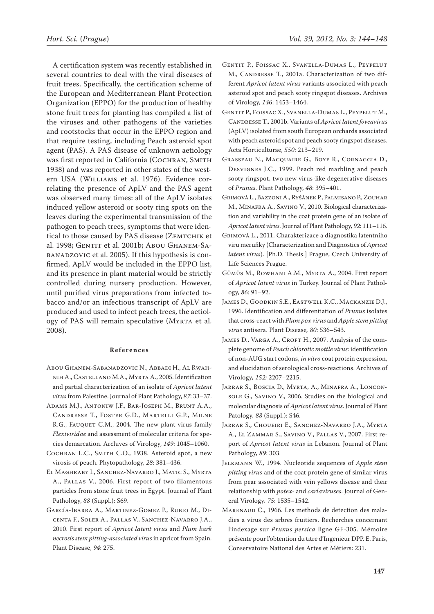A certification system was recently established in several countries to deal with the viral diseases of fruit trees. Specifically, the certification scheme of the European and Mediterranean Plant Protection Organization (EPPO) for the production of healthy stone fruit trees for planting has compiled a list of the viruses and other pathogens of the varieties and rootstocks that occur in the EPPO region and that require testing, including Peach asteroid spot agent (PAS). A PAS disease of unknown aetiology was first reported in California (COCHRAN, SMITH 1938) and was reported in other states of the western USA (Williams et al. 1976). Evidence correlating the presence of ApLV and the PAS agent was observed many times: all of the ApLV isolates induced yellow asteroid or sooty ring spots on the leaves during the experimental transmission of the pathogen to peach trees, symptoms that were identical to those caused by PAS disease (ZEMTCHIK et al. 1998; GENTIT et al. 2001b; Abou GHANEM-SAbanadzovic et al. 2005). If this hypothesis is confirmed, ApLV would be included in the EPPO list, and its presence in plant material would be strictly controlled during nursery production. However, until purified virus preparations from infected tobacco and/or an infectious transcript of ApLV are produced and used to infect peach trees, the aetiology of PAS will remain speculative (Myrta et al. 2008).

#### **References**

- Abou Ghanem-Sabanadzovic N., Abbadi H., Al Rwahnih A., Castellano M.A., Myrta A., 2005. Identification and partial characterization of an isolate of *Apricot latent virus* from Palestine. Journal of Plant Pathology, *87*: 33–37.
- Adams M.J., Antoniw J.F., Bar-Joseph M., Brunt A.A., Candresse T., Foster G.D., Martelli G.P., Milne R.G., FAUQUET C.M., 2004. The new plant virus family *Flexiviridae* and assessment of molecular criteria for species demarcation. Archives of Virology, *149*: 1045–1060.
- Cochran L.C., Smith C.O., 1938. Asteroid spot, a new virosis of peach. Phytopathology, *28*: 381–436.
- El Maghraby I., Sanchez-Navarro J., Matic S., Myrta A., Pallas V., 2006. First report of two filamentous particles from stone fruit trees in Egypt. Journal of Plant Pathology, *88* (Suppl.): S69.
- García-Ibarra A., Martinez-Gomez P., Rubio M., Dicenta F., Soler A., Pallas V., Sanchez-Navarro J.A., 2010. First report of *Apricot latent virus* and *Plum bark necrosis stem pitting-associated virus* in apricot from Spain. Plant Disease, *94*: 275.
- Gentit P., Foissac X., Svanella-Dumas L., Peypelut M., CANDRESSE T., 2001a. Characterization of two different *Apricot latent virus* variants associated with peach asteroid spot and peach sooty ringspot diseases. Archives of Virology, *146*: 1453–1464.
- Gentit P., Foissac X., Svanella-Dumas L., Peypelut M., Candresse T., 2001b. Variants of *Apricot latent foveavirus* (ApLV) isolated from south European orchards associated with peach asteroid spot and peach sooty ringspot diseases. Acta Horticulturae, *550*: 213–219.
- Grasseau N., Macquaire G., Boye R., Cornaggia D., Desvignes J.C., 1999. Peach red marbling and peach sooty ringspot, two new virus-like degenerative diseases of *Prunus*. Plant Pathology, *48*: 395–401.
- Grimová L., Bazzoni A., Ryšánek P., Palmisano P., Zouhar M., Minafra A., Savino V., 2010. Biological characterization and variability in the coat protein gene of an isolate of *Apricot latent virus*. Journal of Plant Pathology, *92*: 111–116.
- Grimová L., 2011. Charakterizace a diagnostika latentního viru meruňky (Characterization and Diagnostics of *Apricot latent virus*). [Ph.D. Thesis.] Prague, Czech University of Life Sciences Prague.
- Gümüs M., Rowhani A.M., Myrta A., 2004. First report of *Apricot latent virus* in Turkey. Journal of Plant Pathology, *86*: 91–92.
- James D., Goodkin S.E., Eastwell K.C., Mackanzie D.J., 1996. Identification and differentiation of *Prunus* isolates that cross-react with *Plum pox virus* and *Apple stem pitting virus* antisera. Plant Disease*, 80*: 536–543.
- JAMES D., VARGA A., CROFT H., 2007. Analysis of the complete genome of *Peach chlorotic mottle virus*: identification of non-AUG start codons, *in vitro* coat protein expression, and elucidation of serological cross-reactions. Archives of Virology*, 152:* 2207–2215.
- Jarrar S., Boscia D., Myrta, A., Minafra A., Lonconsole G., Savino V., 2006. Studies on the biological and molecular diagnosis of *Apricot latent virus*. Journal of Plant Patology*, 88* (Suppl.): S46.
- Jarrar S., Choueiri E., Sanchez-Navarro J.A., Myrta A., El Zammar S., Savino V., Pallas V., 2007. First report of *Apricot latent virus* in Lebanon. Journal of Plant Pathology*, 89*: 303.
- Jelkmann W., 1994. Nucleotide sequences of *Apple stem pitting virus* and of the coat protein gene of similar virus from pear associated with vein yellows disease and their relationship with *potex-* and *carlaviruses*. Journal of General Virology*, 75*: 1535–1542.
- Marenaud C., 1966. Les methods de detection des maladies a virus des arbres fruitiers. Recherches concernant l'indexage sur *Prunus persica* ligne GF-305. Mémoire présente pour l'obtention du titre d'Ingenieur DPP. E. Paris, Conservatoire National des Artes et Métiers: 231.